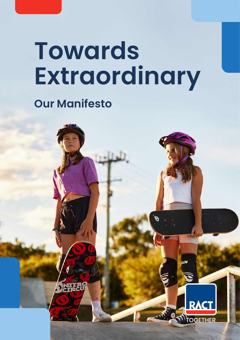# **Towards Extraordinary**

## **Our Manifesto**

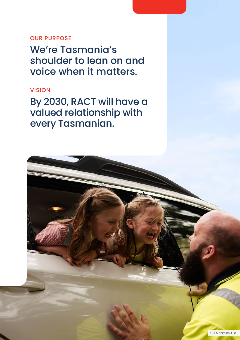### OUR PURPOSE

We're Tasmania's shoulder to lean on and voice when it matters.

### VISION

By 2030, RACT will have a valued relationship with every Tasmanian.

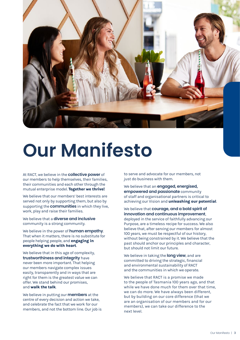![](_page_2_Picture_0.jpeg)

## **Our Manifesto**

At RACT, we believe in the **collective power** of our members to help themselves, their families, their communities and each other through the mutual enterprise model. **Together we thrive!**

We believe that our members' best interests are served not only by supporting them, but also by supporting the **communities** in which they live, work, play and raise their families.

We believe that a **diverse and inclusive** community is a strong community.

We believe in the power of **human empathy**. That when it matters, there is no substitute for people helping people, and **engaging in everything we do with heart**.

We believe that in this age of complexity, **trustworthiness and integrity** have never been more important. That helping our members navigate complex issues easily, transparently and in ways that are right for them is the greatest value we can offer. We stand behind our promises, and **walk the talk**.

We believe in putting our **members** at the centre of every decision and action we take, and celebrate the fact that we work for our members, and not the bottom line. Our job is

to serve and advocate for our members, not just do business with them.

We believe that an **engaged, energised, empowered and passionate** community of staff and organisational partners is critical to achieving our Vision and **unleashing our potential**.

We believe that **courage, and a bold spirit of innovation and continuous improvement**, deployed in the service of faithfully advancing our Purpose, are a timeless recipe for success. We also believe that, after serving our members for almost 100 years, we must be respectful of our history, without being constrained by it. We believe that the past should anchor our principles and character, but should not limit our future.

We believe in taking the **long view**, and are committed to driving the strategic, financial and environmental sustainability of RACT and the communities in which we operate.

We believe that RACT is a promise we made to the people of Tasmania 100 years ago, and that while we have done much for them over that time, we can do more. We have always been different, but by building on our core difference (that we are an organisation of our members and for our members), we can take our difference to the next level.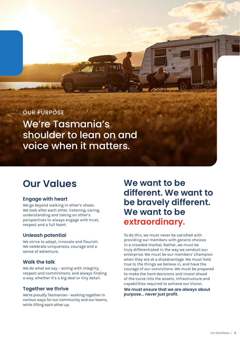OUR PURPOSE

We're Tasmania's shoulder to lean on and voice when it matters.

#### **Engage with heart**

We go beyond walking in other's shoes. We look after each other, listening, caring, understanding and taking on other's perspectives to always engage with trust, respect and a full heart.

#### **Unleash potential**

We strive to adapt, innovate and flourish. We celebrate uniqueness, courage and a sense of adventure.

#### **Walk the talk**

We do what we say - acting with integrity, respect and commitment, and always finding a way, whether it's a big deal or tiny detail.

#### **Together we thrive**

We're proudly Tasmanian - working together in various ways for our community and our teams, while lifting each other up.

### **Our Values We want to be different. We want to be bravely different. We want to be extraordinary.**

To do this, we must never be satisfied with providing our members with generic choices in a crowded market. Rather, we must be truly differentiated in the way we conduct our enterprise. We must be our members' champion when they are at a disadvantage. We must hold true to the things we believe in, and have the courage of our convictions. We must be prepared to make the hard decisions and invest ahead of the curve into the assets, infrastructure and capabilities required to achieve our Vision.

**We must ensure that we are always about purpose... never just profit.**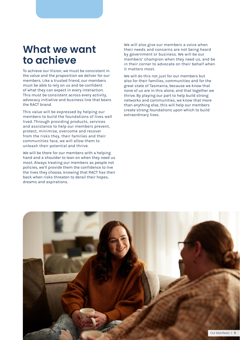## **What we want to achieve**

To achieve our Vision, we must be consistent in the value and the proposition we deliver for our members. Like a trusted friend, our members must be able to rely on us and be confident of what they can expect in every interaction. This must be consistent across every activity, advocacy initiative and business line that bears the RACT brand.

This value will be expressed by helping our members to build the foundations of lives well lived. Through providing products, services and assistance to help our members prevent, protect, minimise, overcome and recover from the risks they, their families and their communities face, we will allow them to unleash their potential and thrive.

We will be there for our members with a helping hand and a shoulder to lean on when they need us most. Always treating our members as people not policies, we'll provide them the confidence to live the lives they choose, knowing that RACT has their back when risks threaten to derail their hopes, dreams and aspirations.

We will also give our members a voice when their needs and concerns are not being heard by government or business. We will be our members' champion when they need us, and be in their corner to advocate on their behalf when it matters most.

We will do this not just for our members but also for their families, communities and for the great state of Tasmania, because we know that none of us are in this alone, and that together we thrive. By playing our part to help build strong networks and communities, we know that more than anything else, this will help our members create strong foundations upon which to build extraordinary lives.

![](_page_4_Picture_6.jpeg)